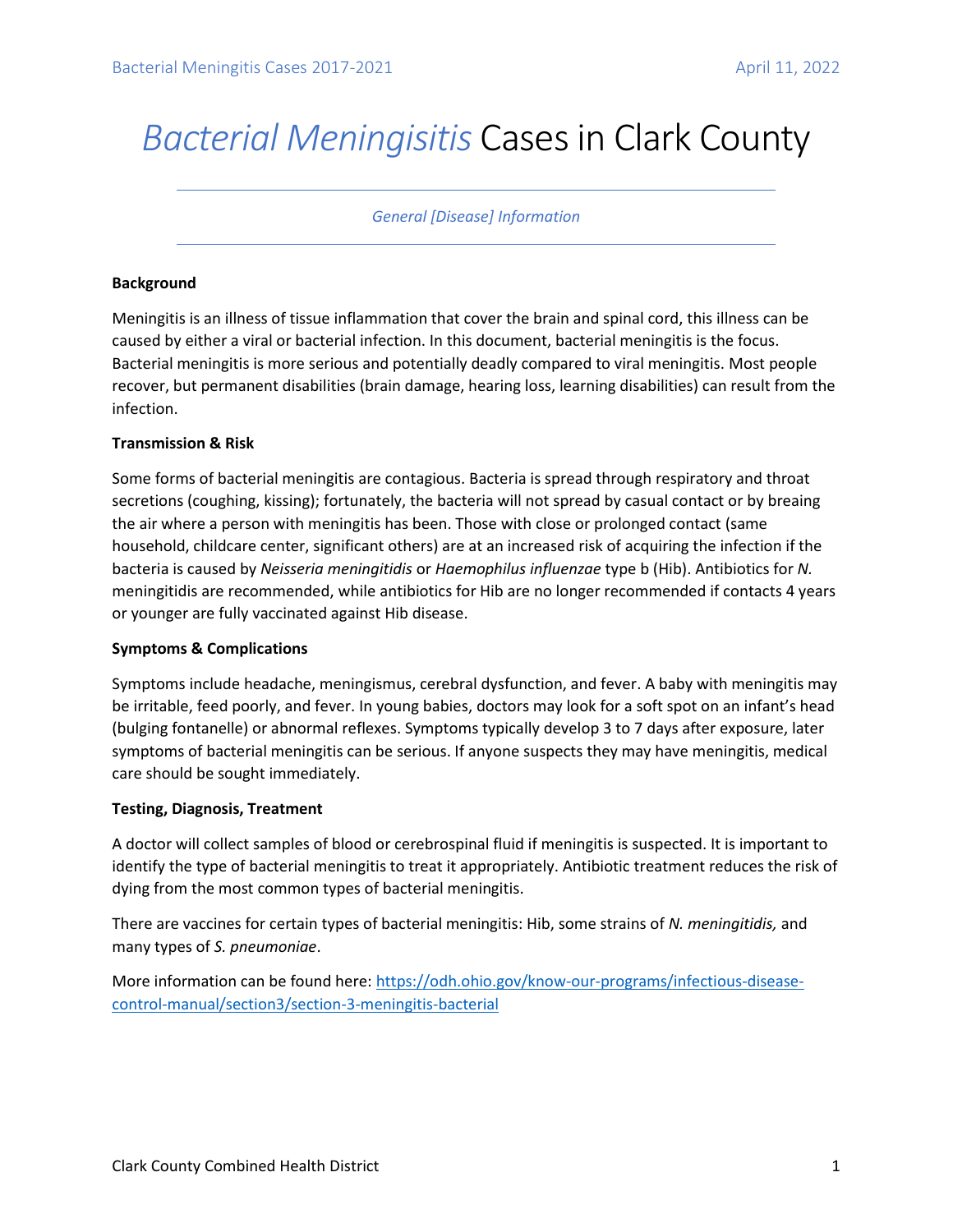# *Bacterial Meningisitis* Cases in Clark County

## *General [Disease] Information*

### **Background**

Meningitis is an illness of tissue inflammation that cover the brain and spinal cord, this illness can be caused by either a viral or bacterial infection. In this document, bacterial meningitis is the focus. Bacterial meningitis is more serious and potentially deadly compared to viral meningitis. Most people recover, but permanent disabilities (brain damage, hearing loss, learning disabilities) can result from the infection.

#### **Transmission & Risk**

Some forms of bacterial meningitis are contagious. Bacteria is spread through respiratory and throat secretions (coughing, kissing); fortunately, the bacteria will not spread by casual contact or by breaing the air where a person with meningitis has been. Those with close or prolonged contact (same household, childcare center, significant others) are at an increased risk of acquiring the infection if the bacteria is caused by *Neisseria meningitidis* or *Haemophilus influenzae* type b (Hib). Antibiotics for *N.*  meningitidis are recommended, while antibiotics for Hib are no longer recommended if contacts 4 years or younger are fully vaccinated against Hib disease.

## **Symptoms & Complications**

Symptoms include headache, meningismus, cerebral dysfunction, and fever. A baby with meningitis may be irritable, feed poorly, and fever. In young babies, doctors may look for a soft spot on an infant's head (bulging fontanelle) or abnormal reflexes. Symptoms typically develop 3 to 7 days after exposure, later symptoms of bacterial meningitis can be serious. If anyone suspects they may have meningitis, medical care should be sought immediately.

## **Testing, Diagnosis, Treatment**

A doctor will collect samples of blood or cerebrospinal fluid if meningitis is suspected. It is important to identify the type of bacterial meningitis to treat it appropriately. Antibiotic treatment reduces the risk of dying from the most common types of bacterial meningitis.

There are vaccines for certain types of bacterial meningitis: Hib, some strains of *N. meningitidis,* and many types of *S. pneumoniae*.

More information can be found here[: https://odh.ohio.gov/know-our-programs/infectious-disease](https://odh.ohio.gov/know-our-programs/infectious-disease-control-manual/section3/section-3-meningitis-bacterial)[control-manual/section3/section-3-meningitis-bacterial](https://odh.ohio.gov/know-our-programs/infectious-disease-control-manual/section3/section-3-meningitis-bacterial)